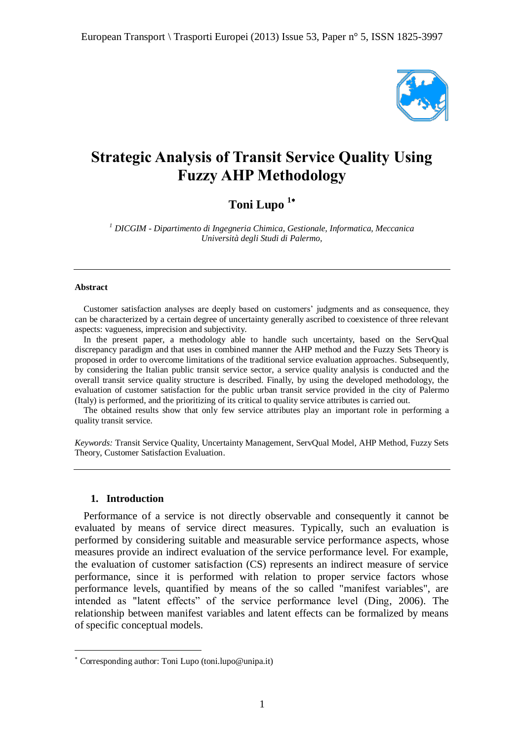

# **Strategic Analysis of Transit Service Quality Using Fuzzy AHP Methodology**

# **Toni Lupo <sup>1</sup>**

*<sup>1</sup> DICGIM - Dipartimento di Ingegneria Chimica, Gestionale, Informatica, Meccanica Università degli Studi di Palermo,* 

#### **Abstract**

Customer satisfaction analyses are deeply based on customers' judgments and as consequence, they can be characterized by a certain degree of uncertainty generally ascribed to coexistence of three relevant aspects: vagueness, imprecision and subjectivity.

In the present paper, a methodology able to handle such uncertainty, based on the ServQual discrepancy paradigm and that uses in combined manner the AHP method and the Fuzzy Sets Theory is proposed in order to overcome limitations of the traditional service evaluation approaches. Subsequently, by considering the Italian public transit service sector, a service quality analysis is conducted and the overall transit service quality structure is described. Finally, by using the developed methodology, the evaluation of customer satisfaction for the public urban transit service provided in the city of Palermo (Italy) is performed, and the prioritizing of its critical to quality service attributes is carried out.

The obtained results show that only few service attributes play an important role in performing a quality transit service.

*Keywords:* Transit Service Quality, Uncertainty Management, ServQual Model, AHP Method, Fuzzy Sets Theory, Customer Satisfaction Evaluation.

#### **1. Introduction**

 $\overline{a}$ 

Performance of a service is not directly observable and consequently it cannot be evaluated by means of service direct measures. Typically, such an evaluation is performed by considering suitable and measurable service performance aspects, whose measures provide an indirect evaluation of the service performance level. For example, the evaluation of customer satisfaction (CS) represents an indirect measure of service performance, since it is performed with relation to proper service factors whose performance levels, quantified by means of the so called "manifest variables", are intended as "latent effects" of the service performance level (Ding, 2006). The relationship between manifest variables and latent effects can be formalized by means of specific conceptual models.

Corresponding author: Toni Lupo (toni.lupo@unipa.it)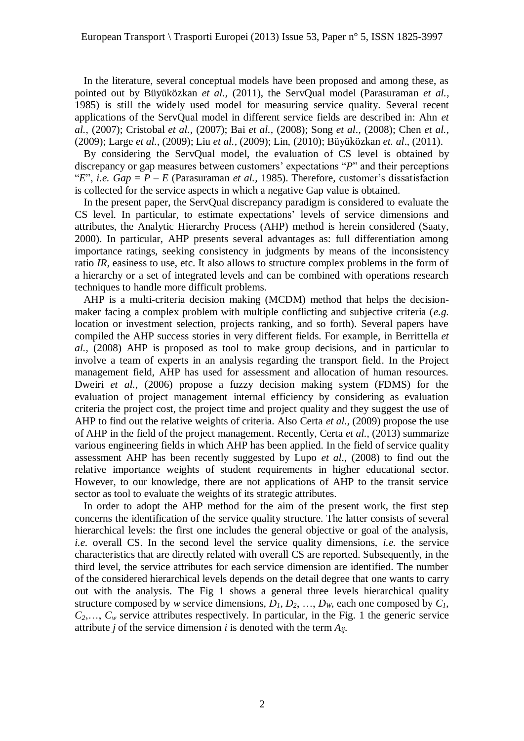In the literature, several conceptual models have been proposed and among these, as pointed out by Büyüközkan *et al.,* (2011), the ServQual model (Parasuraman *et al.,* 1985) is still the widely used model for measuring service quality. Several recent applications of the ServQual model in different service fields are described in: Ahn *et al.*, (2007); Cristobal *et al.,* (2007); Bai *et al.,* (2008); Song *et al*., (2008); Chen *et al.,* (2009); Large *et al.,* (2009); Liu *et al.,* (2009); Lin, (2010); Büyüközkan *et. al*., (2011).

By considering the ServQual model, the evaluation of CS level is obtained by discrepancy or gap measures between customers' expectations "*P*" and their perceptions " $E$ ", *i.e.*  $Gap = P - E$  (Parasuraman *et al.,* 1985). Therefore, customer's dissatisfaction is collected for the service aspects in which a negative Gap value is obtained.

In the present paper, the ServQual discrepancy paradigm is considered to evaluate the CS level. In particular, to estimate expectations' levels of service dimensions and attributes, the Analytic Hierarchy Process (AHP) method is herein considered (Saaty, 2000). In particular, AHP presents several advantages as: full differentiation among importance ratings, seeking consistency in judgments by means of the inconsistency ratio *IR*, easiness to use, etc. It also allows to structure complex problems in the form of a hierarchy or a set of integrated levels and can be combined with operations research techniques to handle more difficult problems.

AHP is a multi-criteria decision making (MCDM) method that helps the decisionmaker facing a complex problem with multiple conflicting and subjective criteria (*e.g.* location or investment selection, projects ranking, and so forth). Several papers have compiled the AHP success stories in very different fields. For example, in Berrittella *et al.,* (2008) AHP is proposed as tool to make group decisions, and in particular to involve a team of experts in an analysis regarding the transport field. In the Project management field, AHP has used for assessment and allocation of human resources. Dweiri *et al.,* (2006) propose a fuzzy decision making system (FDMS) for the evaluation of project management internal efficiency by considering as evaluation criteria the project cost, the project time and project quality and they suggest the use of AHP to find out the relative weights of criteria. Also Certa *et al.,* (2009) propose the use of AHP in the field of the project management. Recently, Certa *et al.,* (2013) summarize various engineering fields in which AHP has been applied. In the field of service quality assessment AHP has been recently suggested by Lupo *et al*., (2008) to find out the relative importance weights of student requirements in higher educational sector. However, to our knowledge, there are not applications of AHP to the transit service sector as tool to evaluate the weights of its strategic attributes.

In order to adopt the AHP method for the aim of the present work, the first step concerns the identification of the service quality structure. The latter consists of several hierarchical levels: the first one includes the general objective or goal of the analysis, *i.e.* overall CS. In the second level the service quality dimensions, *i.e.* the service characteristics that are directly related with overall CS are reported. Subsequently, in the third level, the service attributes for each service dimension are identified. The number of the considered hierarchical levels depends on the detail degree that one wants to carry out with the analysis. The Fig 1 shows a general three levels hierarchical quality structure composed by *w* service dimensions,  $D_1, D_2, \ldots, D_w$ , each one composed by  $C_1$ ,  $C_2, \ldots, C_w$  service attributes respectively. In particular, in the Fig. 1 the generic service attribute *j* of the service dimension *i* is denoted with the term *Aij*.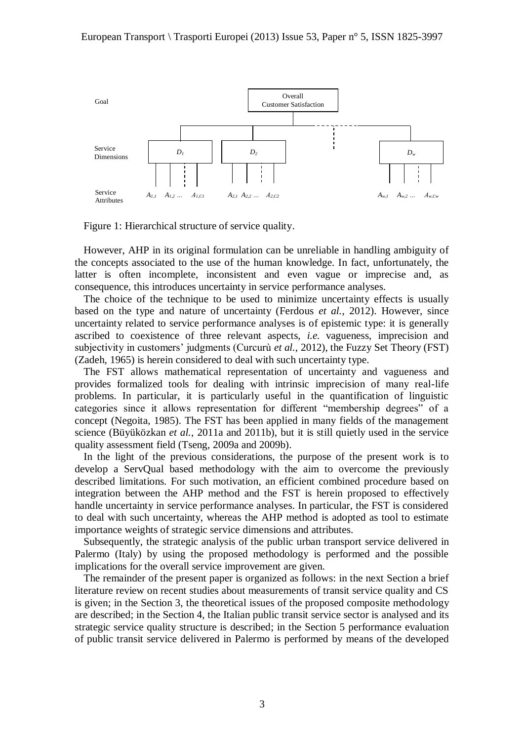

Figure 1: Hierarchical structure of service quality.

However, AHP in its original formulation can be unreliable in handling ambiguity of the concepts associated to the use of the human knowledge. In fact, unfortunately, the latter is often incomplete, inconsistent and even vague or imprecise and, as consequence, this introduces uncertainty in service performance analyses.

The choice of the technique to be used to minimize uncertainty effects is usually based on the type and nature of uncertainty (Ferdous *et al.*, 2012). However, since uncertainty related to service performance analyses is of epistemic type: it is generally ascribed to coexistence of three relevant aspects, *i.e.* vagueness, imprecision and subjectivity in customers' judgments (Curcurù *et al.,* 2012), the Fuzzy Set Theory (FST) (Zadeh, 1965) is herein considered to deal with such uncertainty type.

The FST allows mathematical representation of uncertainty and vagueness and provides formalized tools for dealing with intrinsic imprecision of many real-life problems. In particular, it is particularly useful in the quantification of linguistic categories since it allows representation for different "membership degrees" of a concept (Negoita, 1985). The FST has been applied in many fields of the management science (Büyüközkan *et al.,* 2011a and 2011b), but it is still quietly used in the service quality assessment field (Tseng, 2009a and 2009b).

In the light of the previous considerations, the purpose of the present work is to develop a ServQual based methodology with the aim to overcome the previously described limitations. For such motivation, an efficient combined procedure based on integration between the AHP method and the FST is herein proposed to effectively handle uncertainty in service performance analyses. In particular, the FST is considered to deal with such uncertainty, whereas the AHP method is adopted as tool to estimate importance weights of strategic service dimensions and attributes.

Subsequently, the strategic analysis of the public urban transport service delivered in Palermo (Italy) by using the proposed methodology is performed and the possible implications for the overall service improvement are given.

The remainder of the present paper is organized as follows: in the next Section a brief literature review on recent studies about measurements of transit service quality and CS is given; in the Section 3, the theoretical issues of the proposed composite methodology are described; in the Section 4, the Italian public transit service sector is analysed and its strategic service quality structure is described; in the Section 5 performance evaluation of public transit service delivered in Palermo is performed by means of the developed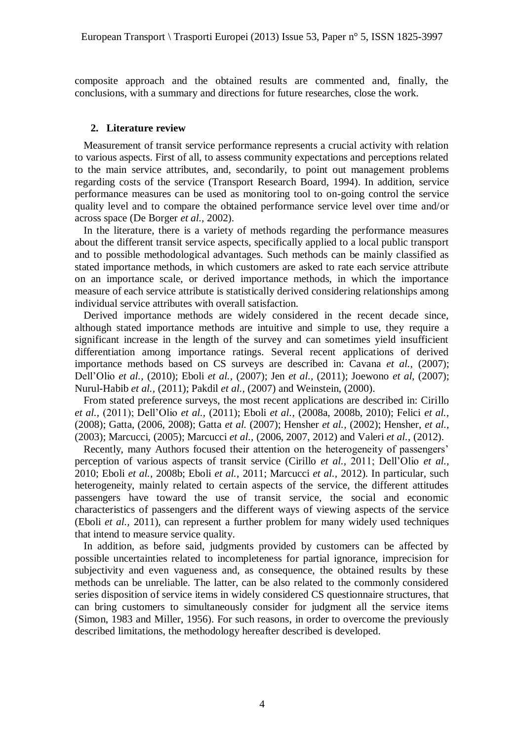composite approach and the obtained results are commented and, finally, the conclusions, with a summary and directions for future researches, close the work.

#### **2. Literature review**

Measurement of transit service performance represents a crucial activity with relation to various aspects. First of all, to assess community expectations and perceptions related to the main service attributes, and, secondarily, to point out management problems regarding costs of the service (Transport Research Board, 1994). In addition, service performance measures can be used as monitoring tool to on-going control the service quality level and to compare the obtained performance service level over time and/or across space (De Borger *et al.,* 2002).

In the literature, there is a variety of methods regarding the performance measures about the different transit service aspects, specifically applied to a local public transport and to possible methodological advantages. Such methods can be mainly classified as stated importance methods, in which customers are asked to rate each service attribute on an importance scale, or derived importance methods, in which the importance measure of each service attribute is statistically derived considering relationships among individual service attributes with overall satisfaction.

Derived importance methods are widely considered in the recent decade since, although stated importance methods are intuitive and simple to use, they require a significant increase in the length of the survey and can sometimes yield insufficient differentiation among importance ratings. Several recent applications of derived importance methods based on CS surveys are described in: Cavana *et al.*, (2007); Dell'Olio *et al.,* (2010); Eboli *et al.,* (2007); Jen *et al.,* (2011); Joewono *et al,* (2007); Nurul-Habib *et al.,* (2011); Pakdil *et al.,* (2007) and Weinstein, (2000).

From stated preference surveys, the most recent applications are described in: Cirillo *et al.,* (2011); Dell'Olio *et al.,* (2011); Eboli *et al.,* (2008a, 2008b, 2010); Felici *et al.,* (2008); Gatta, (2006, 2008); Gatta *et al.* (2007); Hensher *et al.,* (2002); Hensher, *et al.,* (2003); Marcucci, (2005); Marcucci *et al.,* (2006, 2007, 2012) and Valeri *et al.,* (2012).

Recently, many Authors focused their attention on the heterogeneity of passengers' perception of various aspects of transit service (Cirillo *et al.,* 2011; Dell'Olio *et al.,* 2010; Eboli *et al.,* 2008b; Eboli *et al.,* 2011; Marcucci *et al.,* 2012). In particular, such heterogeneity, mainly related to certain aspects of the service, the different attitudes passengers have toward the use of transit service, the social and economic characteristics of passengers and the different ways of viewing aspects of the service (Eboli *et al.,* 2011), can represent a further problem for many widely used techniques that intend to measure service quality.

In addition, as before said, judgments provided by customers can be affected by possible uncertainties related to incompleteness for partial ignorance, imprecision for subjectivity and even vagueness and, as consequence, the obtained results by these methods can be unreliable. The latter, can be also related to the commonly considered series disposition of service items in widely considered CS questionnaire structures, that can bring customers to simultaneously consider for judgment all the service items (Simon, 1983 and Miller, 1956). For such reasons, in order to overcome the previously described limitations, the methodology hereafter described is developed.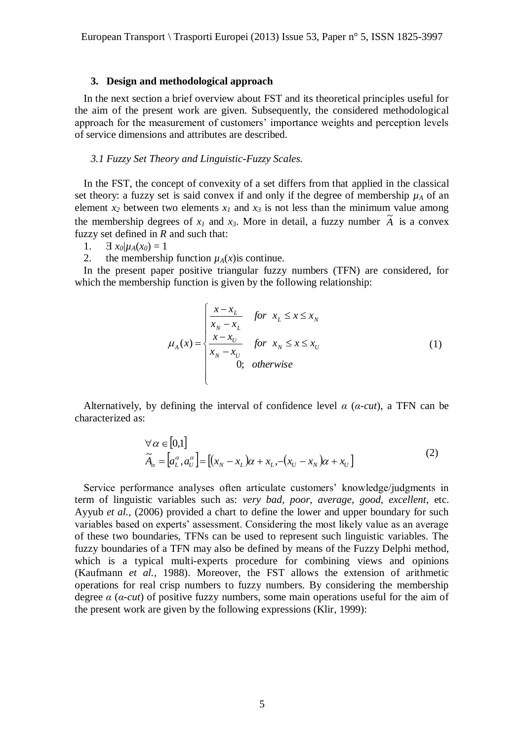#### **3. Design and methodological approach**

In the next section a brief overview about FST and its theoretical principles useful for the aim of the present work are given. Subsequently, the considered methodological approach for the measurement of customers' importance weights and perception levels of service dimensions and attributes are described.

# *3.1 Fuzzy Set Theory and Linguistic-Fuzzy Scales.*

In the FST, the concept of convexity of a set differs from that applied in the classical set theory: a fuzzy set is said convex if and only if the degree of membership  $\mu_A$  of an element  $x_2$  between two elements  $x_1$  and  $x_3$  is not less than the minimum value among the membership degrees of  $x_1$  and  $x_3$ . More in detail, a fuzzy number  $\tilde{A}$  is a convex fuzzy set defined in *R* and such that:

1.  $\exists x_0 | \mu_A(x_0) = 1$ 

2. the membership function  $\mu_A(x)$  is continue.

In the present paper positive triangular fuzzy numbers (TFN) are considered, for which the membership function is given by the following relationship:

$$
\mu_A(x) = \begin{cases}\n\frac{x - x_L}{x_N - x_L} & \text{for } x_L \le x \le x_N \\
\frac{x - x_U}{x_N - x_U} & \text{for } x_N \le x \le x_U \\
0; & \text{otherwise}\n\end{cases}
$$
\n(1)

Alternatively, by defining the interval of confidence level *α* (*α-cut*), a TFN can be characterized as:

$$
\forall \alpha \in [0,1]
$$
  
\n
$$
\widetilde{A}_{\alpha} = [a_{L}^{\alpha}, a_{U}^{\alpha}] = [(x_{N} - x_{L})\alpha + x_{L}, -(x_{U} - x_{N})\alpha + x_{U}]
$$
\n(2)

Service performance analyses often articulate customers' knowledge/judgments in term of linguistic variables such as: *very bad, poor, average, good, excellent*, etc. Ayyub *et al.,* (2006) provided a chart to define the lower and upper boundary for such variables based on experts' assessment. Considering the most likely value as an average of these two boundaries, TFNs can be used to represent such linguistic variables. The fuzzy boundaries of a TFN may also be defined by means of the Fuzzy Delphi method, which is a typical multi-experts procedure for combining views and opinions (Kaufmann *et al.,* 1988). Moreover, the FST allows the extension of arithmetic operations for real crisp numbers to fuzzy numbers. By considering the membership degree  $\alpha$  ( $\alpha$ -cut) of positive fuzzy numbers, some main operations useful for the aim of the present work are given by the following expressions (Klir, 1999):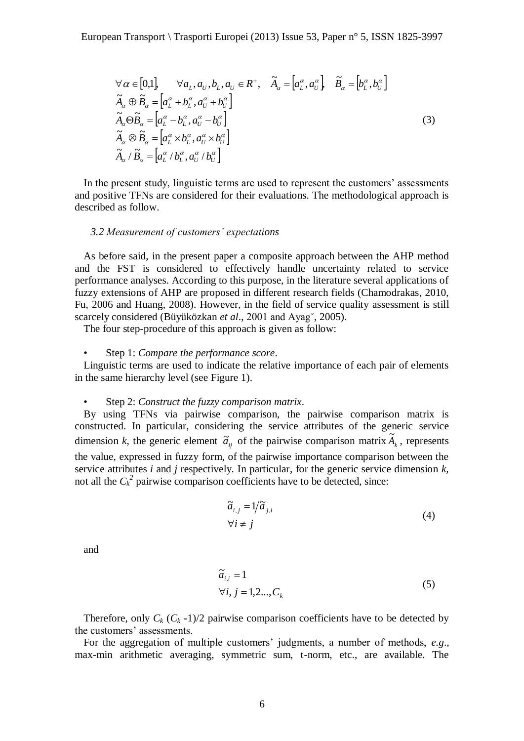$$
\forall \alpha \in [0,1], \quad \forall a_L, a_U, b_L, a_U \in R^+, \quad \tilde{A}_{\alpha} = [a_L^{\alpha}, a_U^{\alpha}], \quad \tilde{B}_{\alpha} = [b_L^{\alpha}, b_U^{\alpha}]
$$
  
\n
$$
\tilde{A}_{\alpha} \oplus \tilde{B}_{\alpha} = [a_L^{\alpha} + b_L^{\alpha}, a_U^{\alpha} + b_U^{\alpha}]
$$
  
\n
$$
\tilde{A}_{\alpha} \otimes \tilde{B}_{\alpha} = [a_L^{\alpha} - b_L^{\alpha}, a_U^{\alpha} - b_U^{\alpha}]
$$
  
\n
$$
\tilde{A}_{\alpha} \otimes \tilde{B}_{\alpha} = [a_L^{\alpha} \times b_L^{\alpha}, a_U^{\alpha} \times b_U^{\alpha}]
$$
  
\n
$$
\tilde{A}_{\alpha} \otimes \tilde{B}_{\alpha} = [a_L^{\alpha} \times b_L^{\alpha}, a_U^{\alpha} \times b_U^{\alpha}]
$$
  
\n(3)

In the present study, linguistic terms are used to represent the customers' assessments and positive TFNs are considered for their evaluations. The methodological approach is described as follow.

#### *3.2 Measurement of customers' expectations*

As before said, in the present paper a composite approach between the AHP method and the FST is considered to effectively handle uncertainty related to service performance analyses. According to this purpose, in the literature several applications of fuzzy extensions of AHP are proposed in different research fields (Chamodrakas, 2010, Fu, 2006 and Huang, 2008). However, in the field of service quality assessment is still scarcely considered (Büyüközkan *et al*., 2001 and Ayag˘, 2005).

The four step-procedure of this approach is given as follow:

#### • Step 1: *Compare the performance score*.

Linguistic terms are used to indicate the relative importance of each pair of elements in the same hierarchy level (see Figure 1).

#### • Step 2: *Construct the fuzzy comparison matrix*.

By using TFNs via pairwise comparison, the pairwise comparison matrix is constructed. In particular, considering the service attributes of the generic service dimension *k*, the generic element  $\tilde{a}_{ij}$  of the pairwise comparison matrix  $\tilde{A}_k$ , represents the value, expressed in fuzzy form, of the pairwise importance comparison between the service attributes *i* and *j* respectively. In particular, for the generic service dimension *k,* not all the  $C_k^2$  pairwise comparison coefficients have to be detected, since:

$$
\widetilde{a}_{i,j} = 1/\widetilde{a}_{j,i} \forall i \neq j
$$
\n(4)

and

$$
\widetilde{a}_{i,i} = 1
$$
  
\n
$$
\forall i, j = 1, 2..., C_k
$$
\n(5)

Therefore, only  $C_k$  ( $C_k$ -1)/2 pairwise comparison coefficients have to be detected by the customers' assessments.

For the aggregation of multiple customers' judgments, a number of methods, *e.g*., max-min arithmetic averaging, symmetric sum, t-norm, etc., are available. The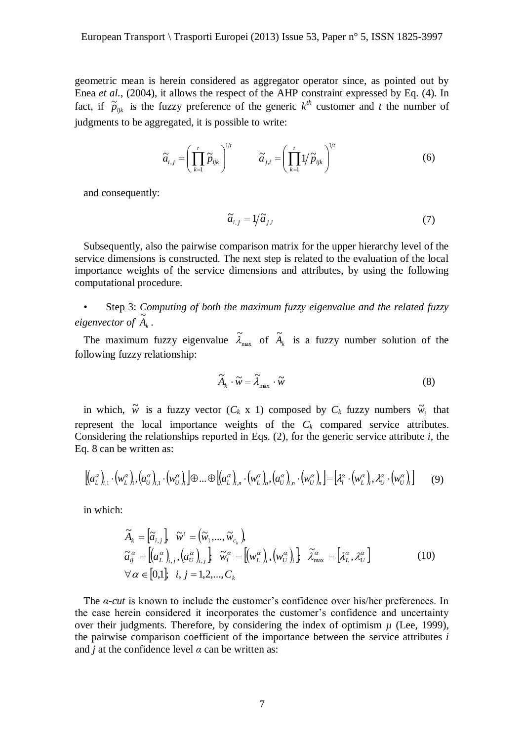geometric mean is herein considered as aggregator operator since, as pointed out by Enea *et al.*, (2004), it allows the respect of the AHP constraint expressed by Eq. (4). In fact, if  $\tilde{p}_{ijk}$  is the fuzzy preference of the generic  $k^{th}$  customer and *t* the number of judgments to be aggregated, it is possible to write:

$$
\widetilde{a}_{i,j} = \left(\prod_{k=1}^{t} \widetilde{p}_{ijk}\right)^{1/t} \qquad \widetilde{a}_{j,i} = \left(\prod_{k=1}^{t} 1/\widetilde{p}_{ijk}\right)^{1/t}
$$
(6)

and consequently:

$$
\widetilde{a}_{i,j} = 1/\widetilde{a}_{j,i} \tag{7}
$$

Subsequently, also the pairwise comparison matrix for the upper hierarchy level of the service dimensions is constructed. The next step is related to the evaluation of the local importance weights of the service dimensions and attributes, by using the following computational procedure.

• Step 3: *Computing of both the maximum fuzzy eigenvalue and the related fuzzy eigenvector of*  $\widetilde{A}_k$ .

The maximum fuzzy eigenvalue  $\lambda_{\text{max}}$  $\widetilde{\lambda}_{\text{max}}$  of  $\widetilde{A}_k$  is a fuzzy number solution of the following fuzzy relationship:

$$
\widetilde{A}_{k} \cdot \widetilde{w} = \widetilde{\lambda}_{\text{max}} \cdot \widetilde{w}
$$
\n(8)

in which,  $\tilde{w}$  is a fuzzy vector  $(C_k \times 1)$  composed by  $C_k$  fuzzy numbers  $\tilde{w}_i$  that represent the local importance weights of the  $C_k$  compared service attributes. Considering the relationships reported in Eqs. (2), for the generic service attribute *i*, the Eq. 8 can be written as:

$$
\left[ \left( a_L^{\alpha} \right)_{i,1} \cdot \left( w_L^{\alpha} \right)_i, \left( a_U^{\alpha} \right)_{i,1} \cdot \left( w_U^{\alpha} \right)_i \right] \oplus \dots \oplus \left[ \left( a_L^{\alpha} \right)_{i,n} \cdot \left( w_L^{\alpha} \right)_n, \left( a_U^{\alpha} \right)_{i,n} \cdot \left( w_U^{\alpha} \right)_n \right] = \left[ \lambda_i^{\alpha} \cdot \left( w_L^{\alpha} \right)_i, \lambda_U^{\alpha} \cdot \left( w_U^{\alpha} \right)_i \right] \tag{9}
$$

in which:

$$
\widetilde{A}_{k} = \begin{bmatrix} \widetilde{a}_{i,j} \end{bmatrix}, \widetilde{w}^{t} = (\widetilde{w}_{1}, ..., \widetilde{w}_{c_{k}}),
$$
\n
$$
\widetilde{a}_{ij}^{\alpha} = \begin{bmatrix} (a_{L}^{\alpha})_{i,j}, (a_{U}^{\alpha})_{i,j} \end{bmatrix}, \widetilde{w}_{i}^{\alpha} = \begin{bmatrix} (w_{L}^{\alpha})_{i}, (w_{U}^{\alpha})_{i} \end{bmatrix}, \widetilde{\lambda}_{\max}^{\alpha} = \begin{bmatrix} \lambda_{L}^{\alpha}, \lambda_{U}^{\alpha} \end{bmatrix}
$$
\n
$$
\forall \alpha \in [0,1], \quad i, j = 1,2,..., C_{k}
$$
\n(10)

The *α-cut* is known to include the customer's confidence over his/her preferences. In the case herein considered it incorporates the customer's confidence and uncertainty over their judgments. Therefore, by considering the index of optimism  $\mu$  (Lee, 1999), the pairwise comparison coefficient of the importance between the service attributes *i* and *j* at the confidence level  $\alpha$  can be written as: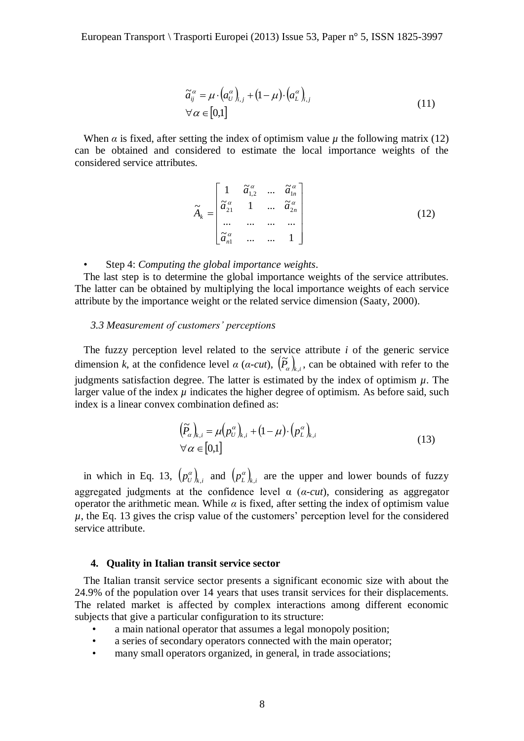$$
\widetilde{a}_{ij}^{\alpha} = \mu \cdot (a_{ij}^{\alpha})_{i,j} + (1 - \mu) \cdot (a_{i}^{\alpha})_{i,j} \forall \alpha \in [0,1]
$$
\n(11)

When  $\alpha$  is fixed, after setting the index of optimism value  $\mu$  the following matrix (12) can be obtained and considered to estimate the local importance weights of the considered service attributes.

$$
\widetilde{A}_{k} = \begin{bmatrix}\n1 & \widetilde{a}_{1,2}^{\alpha} & \dots & \widetilde{a}_{1n}^{\alpha} \\
\widetilde{a}_{21}^{\alpha} & 1 & \dots & \widetilde{a}_{2n}^{\alpha} \\
\vdots & \vdots & \ddots & \vdots \\
\widetilde{a}_{n1}^{\alpha} & \dots & \dots & 1\n\end{bmatrix}
$$
\n(12)

• Step 4: *Computing the global importance weights*.

The last step is to determine the global importance weights of the service attributes. The latter can be obtained by multiplying the local importance weights of each service attribute by the importance weight or the related service dimension (Saaty, 2000).

# *3.3 Measurement of customers' perceptions*

The fuzzy perception level related to the service attribute *i* of the generic service dimension *k*, at the confidence level  $\alpha$  ( $\alpha$ -cut),  $(\tilde{P}_{\alpha})_{k,i}$ , can be obtained with refer to the judgments satisfaction degree. The latter is estimated by the index of optimism  $\mu$ . The larger value of the index  $\mu$  indicates the higher degree of optimism. As before said, such index is a linear convex combination defined as:

$$
\left(\widetilde{P}_{\alpha}\right)_{k,i} = \mu \left(p_{U}^{\alpha}\right)_{k,i} + \left(1 - \mu\right) \cdot \left(p_{L}^{\alpha}\right)_{k,i} \forall \alpha \in [0,1]
$$
\n(13)

in which in Eq. 13,  $(p_{U}^{\alpha})_{k,i}$  and  $(p_{L}^{\alpha})_{k,i}$  are the upper and lower bounds of fuzzy aggregated judgments at the confidence level α (*α-cut*), considering as aggregator operator the arithmetic mean. While  $\alpha$  is fixed, after setting the index of optimism value  $\mu$ , the Eq. 13 gives the crisp value of the customers' perception level for the considered service attribute.

#### **4. Quality in Italian transit service sector**

The Italian transit service sector presents a significant economic size with about the 24.9% of the population over 14 years that uses transit services for their displacements. The related market is affected by complex interactions among different economic subjects that give a particular configuration to its structure:

- a main national operator that assumes a legal monopoly position;
- a series of secondary operators connected with the main operator;
- many small operators organized, in general, in trade associations;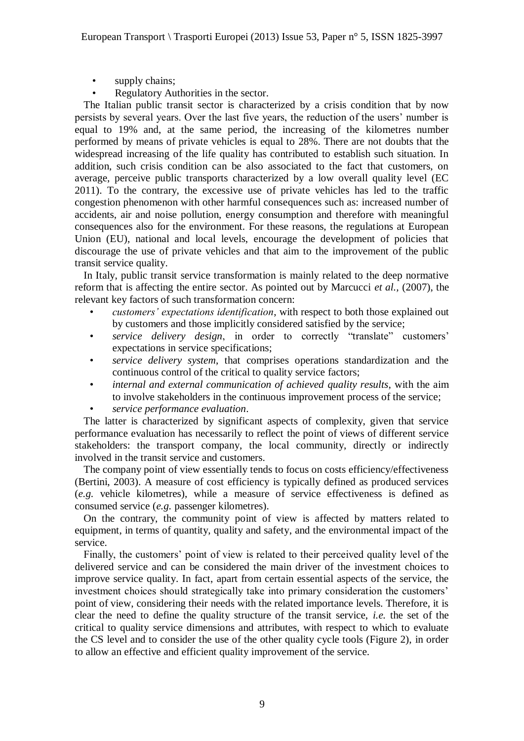- supply chains;
- Regulatory Authorities in the sector.

The Italian public transit sector is characterized by a crisis condition that by now persists by several years. Over the last five years, the reduction of the users' number is equal to 19% and, at the same period, the increasing of the kilometres number performed by means of private vehicles is equal to 28%. There are not doubts that the widespread increasing of the life quality has contributed to establish such situation. In addition, such crisis condition can be also associated to the fact that customers, on average, perceive public transports characterized by a low overall quality level (EC 2011). To the contrary, the excessive use of private vehicles has led to the traffic congestion phenomenon with other harmful consequences such as: increased number of accidents, air and noise pollution, energy consumption and therefore with meaningful consequences also for the environment. For these reasons, the regulations at European Union (EU), national and local levels, encourage the development of policies that discourage the use of private vehicles and that aim to the improvement of the public transit service quality.

In Italy, public transit service transformation is mainly related to the deep normative reform that is affecting the entire sector. As pointed out by Marcucci *et al.,* (2007), the relevant key factors of such transformation concern:

- *customers' expectations identification*, with respect to both those explained out by customers and those implicitly considered satisfied by the service;
- *service delivery design*, in order to correctly "translate" customers' expectations in service specifications;
- *service delivery system*, that comprises operations standardization and the continuous control of the critical to quality service factors;
- *internal and external communication of achieved quality results*, with the aim to involve stakeholders in the continuous improvement process of the service;
- *service performance evaluation*.

The latter is characterized by significant aspects of complexity, given that service performance evaluation has necessarily to reflect the point of views of different service stakeholders: the transport company, the local community, directly or indirectly involved in the transit service and customers.

The company point of view essentially tends to focus on costs efficiency/effectiveness (Bertini, 2003). A measure of cost efficiency is typically defined as produced services (*e.g.* vehicle kilometres), while a measure of service effectiveness is defined as consumed service (*e.g.* passenger kilometres).

On the contrary, the community point of view is affected by matters related to equipment, in terms of quantity, quality and safety, and the environmental impact of the service.

Finally, the customers' point of view is related to their perceived quality level of the delivered service and can be considered the main driver of the investment choices to improve service quality. In fact, apart from certain essential aspects of the service, the investment choices should strategically take into primary consideration the customers' point of view, considering their needs with the related importance levels. Therefore, it is clear the need to define the quality structure of the transit service, *i.e.* the set of the critical to quality service dimensions and attributes, with respect to which to evaluate the CS level and to consider the use of the other quality cycle tools (Figure 2), in order to allow an effective and efficient quality improvement of the service.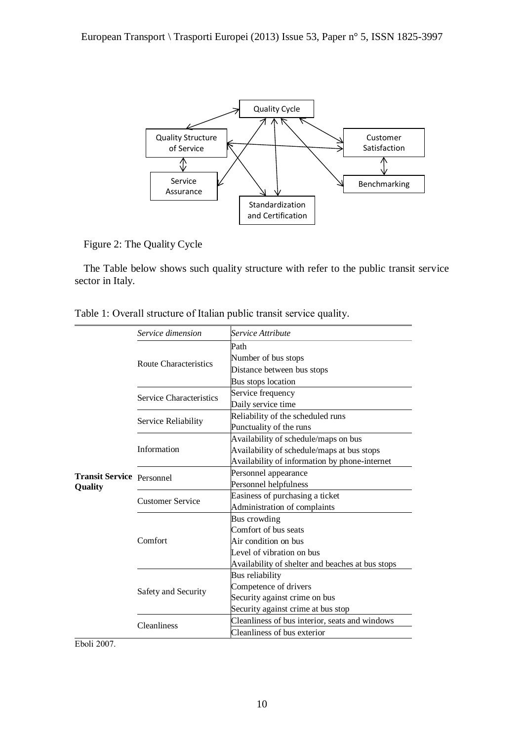

Figure 2: The Quality Cycle

The Table below shows such quality structure with refer to the public transit service sector in Italy.

|                                             | Service dimension            | Service Attribute                                                                                                                                                                                                                                                                                                                                                                                                                                                                                                                                                                                                                                                                                                                            |  |  |  |  |  |  |
|---------------------------------------------|------------------------------|----------------------------------------------------------------------------------------------------------------------------------------------------------------------------------------------------------------------------------------------------------------------------------------------------------------------------------------------------------------------------------------------------------------------------------------------------------------------------------------------------------------------------------------------------------------------------------------------------------------------------------------------------------------------------------------------------------------------------------------------|--|--|--|--|--|--|
|                                             |                              | Path                                                                                                                                                                                                                                                                                                                                                                                                                                                                                                                                                                                                                                                                                                                                         |  |  |  |  |  |  |
|                                             | <b>Route Characteristics</b> | Number of bus stops                                                                                                                                                                                                                                                                                                                                                                                                                                                                                                                                                                                                                                                                                                                          |  |  |  |  |  |  |
|                                             |                              | Distance between bus stops<br>Bus stops location<br>Service frequency<br>Daily service time<br>Reliability of the scheduled runs<br>Punctuality of the runs<br>Availability of schedule/maps on bus<br>Availability of schedule/maps at bus stops<br>Availability of information by phone-internet<br>Personnel appearance<br>Personnel helpfulness<br>Easiness of purchasing a ticket<br>Administration of complaints<br>Bus crowding<br>Comfort of bus seats<br>Air condition on bus<br>Level of vibration on bus<br>Availability of shelter and beaches at bus stops<br>Bus reliability<br>Competence of drivers<br>Security against crime on bus<br>Security against crime at bus stop<br>Cleanliness of bus interior, seats and windows |  |  |  |  |  |  |
|                                             |                              |                                                                                                                                                                                                                                                                                                                                                                                                                                                                                                                                                                                                                                                                                                                                              |  |  |  |  |  |  |
|                                             | Service Characteristics      |                                                                                                                                                                                                                                                                                                                                                                                                                                                                                                                                                                                                                                                                                                                                              |  |  |  |  |  |  |
|                                             |                              |                                                                                                                                                                                                                                                                                                                                                                                                                                                                                                                                                                                                                                                                                                                                              |  |  |  |  |  |  |
|                                             | Service Reliability          |                                                                                                                                                                                                                                                                                                                                                                                                                                                                                                                                                                                                                                                                                                                                              |  |  |  |  |  |  |
|                                             |                              |                                                                                                                                                                                                                                                                                                                                                                                                                                                                                                                                                                                                                                                                                                                                              |  |  |  |  |  |  |
|                                             |                              |                                                                                                                                                                                                                                                                                                                                                                                                                                                                                                                                                                                                                                                                                                                                              |  |  |  |  |  |  |
| <b>Transit Service Personnel</b><br>Quality | Information                  |                                                                                                                                                                                                                                                                                                                                                                                                                                                                                                                                                                                                                                                                                                                                              |  |  |  |  |  |  |
|                                             |                              |                                                                                                                                                                                                                                                                                                                                                                                                                                                                                                                                                                                                                                                                                                                                              |  |  |  |  |  |  |
|                                             |                              |                                                                                                                                                                                                                                                                                                                                                                                                                                                                                                                                                                                                                                                                                                                                              |  |  |  |  |  |  |
|                                             |                              |                                                                                                                                                                                                                                                                                                                                                                                                                                                                                                                                                                                                                                                                                                                                              |  |  |  |  |  |  |
|                                             | <b>Customer Service</b>      |                                                                                                                                                                                                                                                                                                                                                                                                                                                                                                                                                                                                                                                                                                                                              |  |  |  |  |  |  |
|                                             |                              |                                                                                                                                                                                                                                                                                                                                                                                                                                                                                                                                                                                                                                                                                                                                              |  |  |  |  |  |  |
|                                             |                              |                                                                                                                                                                                                                                                                                                                                                                                                                                                                                                                                                                                                                                                                                                                                              |  |  |  |  |  |  |
|                                             |                              | Cleanliness of bus exterior                                                                                                                                                                                                                                                                                                                                                                                                                                                                                                                                                                                                                                                                                                                  |  |  |  |  |  |  |
|                                             | Comfort                      |                                                                                                                                                                                                                                                                                                                                                                                                                                                                                                                                                                                                                                                                                                                                              |  |  |  |  |  |  |
|                                             |                              |                                                                                                                                                                                                                                                                                                                                                                                                                                                                                                                                                                                                                                                                                                                                              |  |  |  |  |  |  |
|                                             |                              |                                                                                                                                                                                                                                                                                                                                                                                                                                                                                                                                                                                                                                                                                                                                              |  |  |  |  |  |  |
|                                             |                              |                                                                                                                                                                                                                                                                                                                                                                                                                                                                                                                                                                                                                                                                                                                                              |  |  |  |  |  |  |
|                                             | Safety and Security          |                                                                                                                                                                                                                                                                                                                                                                                                                                                                                                                                                                                                                                                                                                                                              |  |  |  |  |  |  |
|                                             |                              |                                                                                                                                                                                                                                                                                                                                                                                                                                                                                                                                                                                                                                                                                                                                              |  |  |  |  |  |  |
|                                             |                              |                                                                                                                                                                                                                                                                                                                                                                                                                                                                                                                                                                                                                                                                                                                                              |  |  |  |  |  |  |
|                                             | <b>Cleanliness</b>           |                                                                                                                                                                                                                                                                                                                                                                                                                                                                                                                                                                                                                                                                                                                                              |  |  |  |  |  |  |
|                                             |                              |                                                                                                                                                                                                                                                                                                                                                                                                                                                                                                                                                                                                                                                                                                                                              |  |  |  |  |  |  |

Table 1: Overall structure of Italian public transit service quality.

Eboli 2007.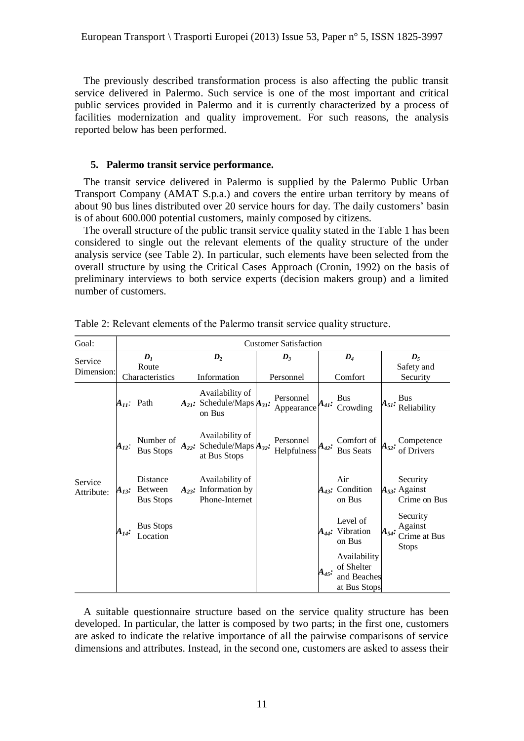The previously described transformation process is also affecting the public transit service delivered in Palermo. Such service is one of the most important and critical public services provided in Palermo and it is currently characterized by a process of facilities modernization and quality improvement. For such reasons, the analysis reported below has been performed.

# **5. Palermo transit service performance.**

The transit service delivered in Palermo is supplied by the Palermo Public Urban Transport Company (AMAT S.p.a.) and covers the entire urban territory by means of about 90 bus lines distributed over 20 service hours for day. The daily customers' basin is of about 600.000 potential customers, mainly composed by citizens.

The overall structure of the public transit service quality stated in the Table 1 has been considered to single out the relevant elements of the quality structure of the under analysis service (see Table 2). In particular, such elements have been selected from the overall structure by using the Critical Cases Approach (Cronin, 1992) on the basis of preliminary interviews to both service experts (decision makers group) and a limited number of customers.

| Goal:                 | <b>Customer Satisfaction</b>               |                                                |                           |                                                                        |  |                             |            |                                                           |                                                |                                                     |
|-----------------------|--------------------------------------------|------------------------------------------------|---------------------------|------------------------------------------------------------------------|--|-----------------------------|------------|-----------------------------------------------------------|------------------------------------------------|-----------------------------------------------------|
| Service<br>Dimension: | $\mathbf{D}_I$<br>Route<br>Characteristics |                                                | $\bm{D}_2$<br>Information |                                                                        |  | $\mathbf{D}_3$<br>Personnel |            | $D_4$<br>Comfort                                          | $\boldsymbol{D}_{5}$<br>Safety and<br>Security |                                                     |
|                       |                                            | $A_{II}$ : Path                                |                           | Availability of<br>$A_{21}$ : Schedule/Maps $A_{31}$ :<br>on Bus       |  | Personnel<br>Appearance     | $A_{41}$ : | <b>Bus</b><br>Crowding                                    | $\mathbf{A}_{5I}:$                             | <b>Bus</b><br>Reliability                           |
|                       | $A_{12}$ :                                 | Number of<br><b>Bus Stops</b>                  |                           | Availability of<br>$A_{22}$ : Schedule/Maps $A_{32}$ :<br>at Bus Stops |  | Personnel<br>Helpfulness    | $A_{42}$ : | Comfort of<br><b>Bus Seats</b>                            | $\mathbf{A}_{52}$ :                            | Competence<br>of Drivers                            |
| Service<br>Attribute: | $A_{13}$ :                                 | Distance<br><b>Between</b><br><b>Bus Stops</b> |                           | Availability of<br>$A_{23}$ : Information by<br>Phone-Internet         |  |                             |            | Air<br>$A_{43}$ : Condition<br>on Bus                     |                                                | Security<br>$A_{53}$ : Against<br>Crime on Bus      |
|                       | $A_{14}:$                                  | <b>Bus Stops</b><br>Location                   |                           |                                                                        |  |                             |            | Level of<br>$A_{44}$ : Vibration<br>on Bus                | $A_{54}$ :                                     | Security<br>Against<br>Crime at Bus<br><b>Stops</b> |
|                       |                                            |                                                |                           |                                                                        |  |                             | A45:       | Availability<br>of Shelter<br>and Beaches<br>at Bus Stops |                                                |                                                     |

Table 2: Relevant elements of the Palermo transit service quality structure.

A suitable questionnaire structure based on the service quality structure has been developed. In particular, the latter is composed by two parts; in the first one, customers are asked to indicate the relative importance of all the pairwise comparisons of service dimensions and attributes. Instead, in the second one, customers are asked to assess their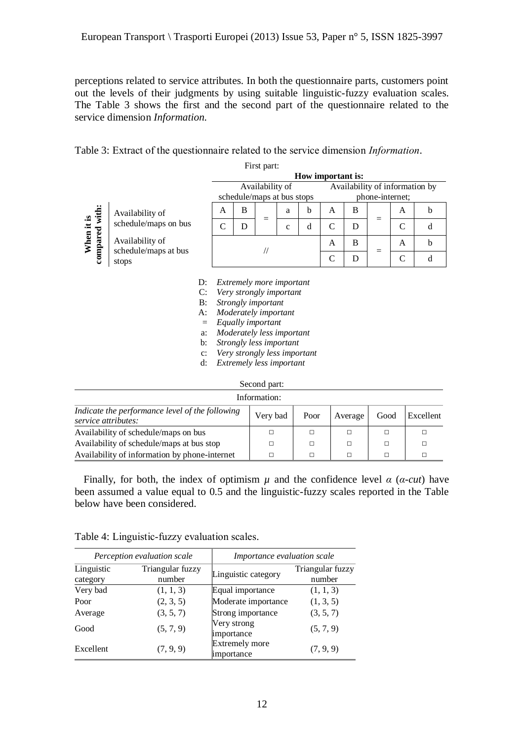perceptions related to service attributes. In both the questionnaire parts, customers point out the levels of their judgments by using suitable linguistic-fuzzy evaluation scales. The Table 3 shows the first and the second part of the questionnaire related to the service dimension *Information.*

| Table 3: Extract of the questionnaire related to the service dimension <i>Information</i> . |
|---------------------------------------------------------------------------------------------|
|---------------------------------------------------------------------------------------------|

|                                                      | First part:     |                                                                    |                                                                                                                                                                                                                                                   |   |     |             |                 |                                |   |               |              |             |
|------------------------------------------------------|-----------------|--------------------------------------------------------------------|---------------------------------------------------------------------------------------------------------------------------------------------------------------------------------------------------------------------------------------------------|---|-----|-------------|-----------------|--------------------------------|---|---------------|--------------|-------------|
|                                                      |                 |                                                                    | How important is:                                                                                                                                                                                                                                 |   |     |             |                 |                                |   |               |              |             |
|                                                      |                 |                                                                    | Availability of                                                                                                                                                                                                                                   |   |     |             |                 | Availability of information by |   |               |              |             |
|                                                      |                 |                                                                    | schedule/maps at bus stops                                                                                                                                                                                                                        |   |     |             | phone-internet; |                                |   |               |              |             |
|                                                      | Availability of |                                                                    | A                                                                                                                                                                                                                                                 | B | $=$ | a           | b               | A                              | B | $=$           | A            | $\mathbf b$ |
| When it is<br>compared with:<br>schedule/maps on bus |                 |                                                                    | C                                                                                                                                                                                                                                                 | D |     | $\mathbf c$ | d               | $\mathsf{C}$                   | D |               | $\mathsf{C}$ | d           |
| Availability of<br>schedule/maps at bus              |                 | $^{\prime\prime}$                                                  |                                                                                                                                                                                                                                                   |   | A   | B           | $=$             | A                              | b |               |              |             |
| stops                                                |                 |                                                                    |                                                                                                                                                                                                                                                   |   |     |             |                 | $\mathsf{C}$                   | D | $\mathcal{C}$ | d            |             |
|                                                      |                 | D:<br>C:<br>B:<br>A:<br>$=$<br>a:<br>b:<br>$\mathbf{C}$ :<br>$d$ : | <i>Extremely more important</i><br>Very strongly important<br>Strongly important<br>Moderately important<br>Equally important<br>Moderately less important<br>Strongly less important<br>Very strongly less important<br>Extremely less important |   |     |             |                 |                                |   |               |              |             |

Second part:

| Information:                                                           |          |        |         |      |           |  |  |  |  |
|------------------------------------------------------------------------|----------|--------|---------|------|-----------|--|--|--|--|
| Indicate the performance level of the following<br>service attributes: | Very bad | Poor   | Average | Good | Excellent |  |  |  |  |
| Availability of schedule/maps on bus                                   |          | $\Box$ |         |      |           |  |  |  |  |
| Availability of schedule/maps at bus stop                              | П        | П      |         |      |           |  |  |  |  |
| Availability of information by phone-internet                          |          | $\Box$ |         |      |           |  |  |  |  |

Finally, for both, the index of optimism  $\mu$  and the confidence level  $\alpha$  ( $\alpha$ -cut) have been assumed a value equal to 0.5 and the linguistic-fuzzy scales reported in the Table below have been considered.

|                                                      | Perception evaluation scale | <i>Importance evaluation scale</i>  |                            |  |  |  |
|------------------------------------------------------|-----------------------------|-------------------------------------|----------------------------|--|--|--|
| Linguistic<br>Triangular fuzzy<br>number<br>category |                             | Linguistic category                 | Triangular fuzzy<br>number |  |  |  |
| Very bad                                             | (1, 1, 3)                   | Equal importance                    | (1, 1, 3)                  |  |  |  |
| Poor                                                 | (2, 3, 5)                   | Moderate importance                 | (1, 3, 5)                  |  |  |  |
| Average                                              | (3, 5, 7)                   | Strong importance                   | (3, 5, 7)                  |  |  |  |
| Good                                                 | (5, 7, 9)                   | Very strong<br>importance           | (5, 7, 9)                  |  |  |  |
| Excellent                                            | (7, 9, 9)                   | <b>Extremely more</b><br>importance | (7, 9, 9)                  |  |  |  |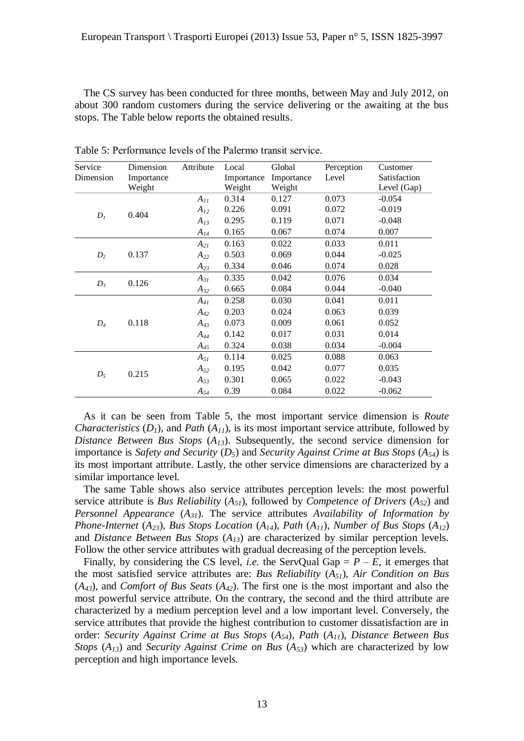The CS survey has been conducted for three months, between May and July 2012, on about 300 random customers during the service delivering or the awaiting at the bus stops. The Table below reports the obtained results.

| Service   | Dimension  | Attribute | Local      | Global     | Perception | Customer     |
|-----------|------------|-----------|------------|------------|------------|--------------|
| Dimension | Importance |           | Importance | Importance | Level      | Satisfaction |
|           | Weight     |           | Weight     | Weight     |            | Level (Gap)  |
| $D_I$     |            | $A_{11}$  | 0.314      | 0.127      | 0.073      | $-0.054$     |
|           | 0.404      | $A_{12}$  | 0.226      | 0.091      | 0.072      | $-0.019$     |
|           |            | $A_{13}$  | 0.295      | 0.119      | 0.071      | $-0.048$     |
|           |            | $A_{14}$  | 0.165      | 0.067      | 0.074      | 0.007        |
|           |            | $A_{2I}$  | 0.163      | 0.022      | 0.033      | 0.011        |
| $D_2$     | 0.137      | $A_{22}$  | 0.503      | 0.069      | 0.044      | $-0.025$     |
|           |            | $A_{23}$  | 0.334      | 0.046      | 0.074      | 0.028        |
| $D_3$     |            | $A_{31}$  | 0.335      | 0.042      | 0.076      | 0.034        |
|           | 0.126      | $A_{32}$  | 0.665      | 0.084      | 0.044      | $-0.040$     |
|           |            | $A_{41}$  | 0.258      | 0.030      | 0.041      | 0.011        |
| $D_4$     |            | $A_{42}$  | 0.203      | 0.024      | 0.063      | 0.039        |
|           | 0.118      | $A_{43}$  | 0.073      | 0.009      | 0.061      | 0.052        |
|           |            | $A_{44}$  | 0.142      | 0.017      | 0.031      | 0.014        |
|           |            | $A_{45}$  | 0.324      | 0.038      | 0.034      | $-0.004$     |
|           |            | $A_{5I}$  | 0.114      | 0.025      | 0.088      | 0.063        |
|           |            | $A_{52}$  | 0.195      | 0.042      | 0.077      | 0.035        |
| $D_5$     | 0.215      | $A_{53}$  | 0.301      | 0.065      | 0.022      | $-0.043$     |
|           |            | $A_{54}$  | 0.39       | 0.084      | 0.022      | $-0.062$     |

Table 5: Performance levels of the Palermo transit service.

As it can be seen from Table 5, the most important service dimension is *Route Characteristics* ( $D_1$ ), and *Path* ( $A_{11}$ ), is its most important service attribute, followed by *Distance Between Bus Stops* (*A13*). Subsequently, the second service dimension for importance is *Safety and Security* (*D5*) and *Security Against Crime at Bus Stops* (*A54*) is its most important attribute. Lastly, the other service dimensions are characterized by a similar importance level.

The same Table shows also service attributes perception levels: the most powerful service attribute is *Bus Reliability* (*A51*), followed by *Competence of Drivers* (*A52*) and *Personnel Appearance* (*A31*). The service attributes *Availability of Information by Phone-Internet* (*A23*), *Bus Stops Location* (*A14*), *Path* (*A11*), *Number of Bus Stops* (*A12*) and *Distance Between Bus Stops* (*A13*) are characterized by similar perception levels. Follow the other service attributes with gradual decreasing of the perception levels.

Finally, by considering the CS level, *i.e.* the ServQual Gap =  $P - E$ , it emerges that the most satisfied service attributes are: *Bus Reliability* (*A51*), *Air Condition on Bus* (*A43*), and *Comfort of Bus Seats* (*A42*). The first one is the most important and also the most powerful service attribute. On the contrary, the second and the third attribute are characterized by a medium perception level and a low important level. Conversely, the service attributes that provide the highest contribution to customer dissatisfaction are in order: *Security Against Crime at Bus Stops* (*A54*), *Path* (*A11*), *Distance Between Bus Stops* (*A13*) and *Security Against Crime on Bus* (*A53*) which are characterized by low perception and high importance levels.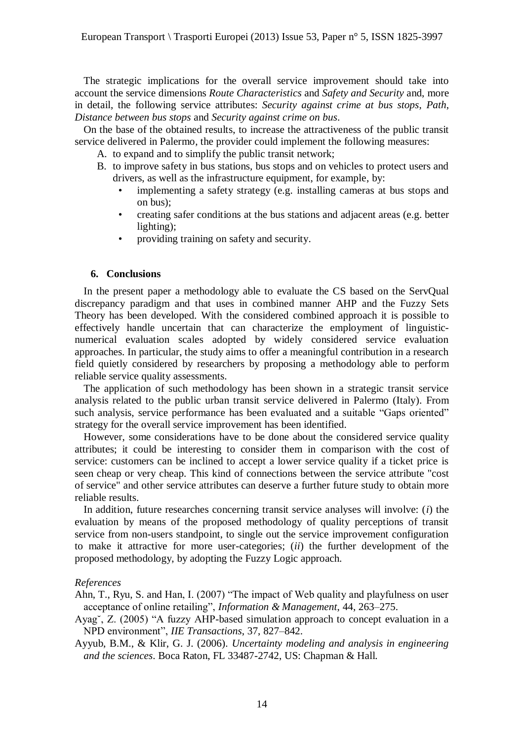The strategic implications for the overall service improvement should take into account the service dimensions *Route Characteristics* and *Safety and Security* and, more in detail, the following service attributes: *Security against crime at bus stops*, *Path*, *Distance between bus stops* and *Security against crime on bus*.

On the base of the obtained results, to increase the attractiveness of the public transit service delivered in Palermo, the provider could implement the following measures:

A. to expand and to simplify the public transit network;

- B. to improve safety in bus stations, bus stops and on vehicles to protect users and drivers, as well as the infrastructure equipment, for example, by:
	- implementing a safety strategy (e.g. installing cameras at bus stops and on bus);
	- creating safer conditions at the bus stations and adjacent areas (e.g. better lighting);
	- providing training on safety and security.

# **6. Conclusions**

In the present paper a methodology able to evaluate the CS based on the ServQual discrepancy paradigm and that uses in combined manner AHP and the Fuzzy Sets Theory has been developed. With the considered combined approach it is possible to effectively handle uncertain that can characterize the employment of linguisticnumerical evaluation scales adopted by widely considered service evaluation approaches. In particular, the study aims to offer a meaningful contribution in a research field quietly considered by researchers by proposing a methodology able to perform reliable service quality assessments.

The application of such methodology has been shown in a strategic transit service analysis related to the public urban transit service delivered in Palermo (Italy). From such analysis, service performance has been evaluated and a suitable "Gaps oriented" strategy for the overall service improvement has been identified.

However, some considerations have to be done about the considered service quality attributes; it could be interesting to consider them in comparison with the cost of service: customers can be inclined to accept a lower service quality if a ticket price is seen cheap or very cheap. This kind of connections between the service attribute "cost of service" and other service attributes can deserve a further future study to obtain more reliable results.

In addition, future researches concerning transit service analyses will involve: (*i*) the evaluation by means of the proposed methodology of quality perceptions of transit service from non-users standpoint, to single out the service improvement configuration to make it attractive for more user-categories; (*ii*) the further development of the proposed methodology, by adopting the Fuzzy Logic approach.

#### *References*

Ahn, T., Ryu, S. and Han, I. (2007) "The impact of Web quality and playfulness on user acceptance of online retailing", *Information & Management*, 44, 263–275.

- Ayag˘, Z. (2005) "A fuzzy AHP-based simulation approach to concept evaluation in a NPD environment", *IIE Transactions*, 37, 827–842.
- Ayyub, B.M., & Klir, G. J. (2006). *Uncertainty modeling and analysis in engineering and the sciences*. Boca Raton, FL 33487-2742, US: Chapman & Hall.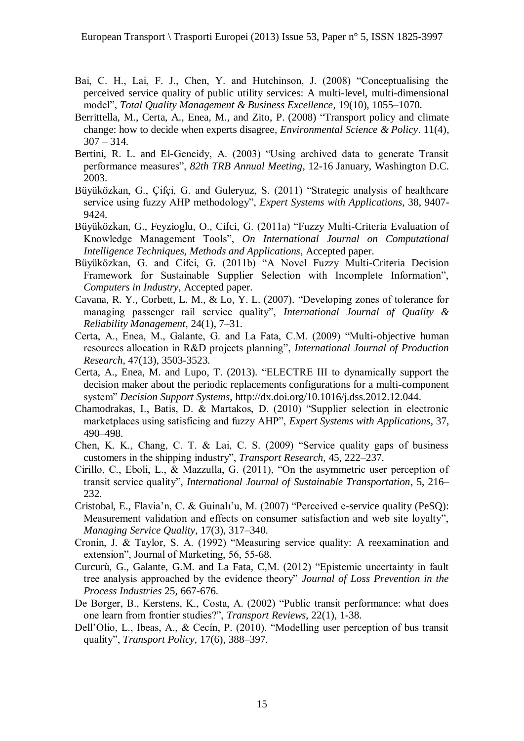- Bai, C. H., Lai, F. J., Chen, Y. and Hutchinson, J. (2008) "Conceptualising the perceived service quality of public utility services: A multi-level, multi-dimensional model", *Total Quality Management & Business Excellence*, 19(10), 1055–1070.
- Berrittella, M., Certa, A., Enea, M., and Zito, P. (2008) "Transport policy and climate change: how to decide when experts disagree*, Environmental Science & Policy*. 11(4),  $307 - 314.$
- Bertini, R. L. and El-Geneidy, A. (2003) "Using archived data to generate Transit performance measures", *82th TRB Annual Meeting*, 12-16 January, Washington D.C. 2003.
- Büyüközkan, G., Çifçi, G. and Guleryuz, S. (2011) "Strategic analysis of healthcare service using fuzzy AHP methodology", *Expert Systems with Applications*, 38, 9407- 9424.
- Büyüközkan, G., Feyzioglu, O., Cifci, G. (2011a) "Fuzzy Multi-Criteria Evaluation of Knowledge Management Tools", *On International Journal on Computational Intelligence Techniques, Methods and Applications*, Accepted paper.
- Büyüközkan, G. and Cifci, G. (2011b) "A Novel Fuzzy Multi-Criteria Decision Framework for Sustainable Supplier Selection with Incomplete Information", *Computers in Industry*, Accepted paper.
- Cavana, R. Y., Corbett, L. M., & Lo, Y. L. (2007). "Developing zones of tolerance for managing passenger rail service quality", *International Journal of Quality & Reliability Management*, 24(1), 7–31.
- Certa, A., Enea, M., Galante, G. and La Fata, C.M. (2009) "Multi-objective human resources allocation in R&D projects planning", *International Journal of Production Research*, 47(13), 3503-3523.
- Certa, A., Enea, M. and Lupo, T. (2013). "ELECTRE III to dynamically support the decision maker about the periodic replacements configurations for a multi-component system" *Decision Support Systems*, http://dx.doi.org/10.1016/j.dss.2012.12.044.
- Chamodrakas, I., Batis, D. & Martakos, D. (2010) "Supplier selection in electronic marketplaces using satisficing and fuzzy AHP", *Expert Systems with Applications*, 37, 490–498.
- Chen, K. K., Chang, C. T. & Lai, C. S. (2009) "Service quality gaps of business customers in the shipping industry", *Transport Research*, 45, 222–237.
- Cirillo, C., Eboli, L., & Mazzulla, G. (2011), "On the asymmetric user perception of transit service quality", *International Journal of Sustainable Transportation*, 5, 216– 232.
- Cristobal, E., Flavia'n, C. & Guinalı'u, M. (2007) "Perceived e-service quality (PeSQ): Measurement validation and effects on consumer satisfaction and web site loyalty", *Managing Service Quality*, 17(3), 317–340.
- Cronin, J. & Taylor, S. A. (1992) "Measuring service quality: A reexamination and extension", Journal of Marketing, 56, 55-68.
- Curcurù, G., Galante, G.M. and La Fata, C,M. (2012) "Epistemic uncertainty in fault tree analysis approached by the evidence theory" *Journal of Loss Prevention in the Process Industries* 25, 667-676.
- De Borger, B., Kerstens, K., Costa, A. (2002) "Public transit performance: what does one learn from frontier studies?", *Transport Reviews*, 22(1), 1-38.
- Dell'Olio, L., Ibeas, A., & Cecín, P. (2010). "Modelling user perception of bus transit quality", *Transport Policy*, 17(6), 388–397.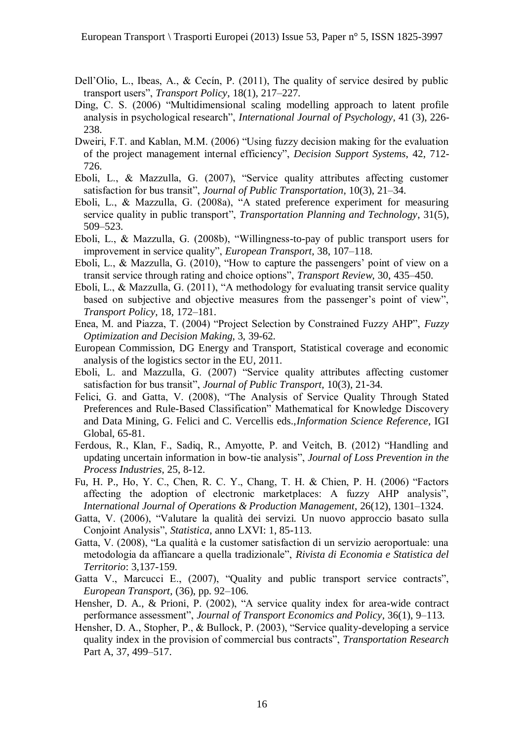- Dell'Olio, L., Ibeas, A., & Cecín, P. (2011), The quality of service desired by public transport users", *Transport Policy*, 18(1), 217–227.
- Ding, C. S. (2006) "Multidimensional scaling modelling approach to latent profile analysis in psychological research", *International Journal of Psychology*, 41 (3), 226- 238.
- Dweiri, F.T. and Kablan, M.M. (2006) "Using fuzzy decision making for the evaluation of the project management internal efficiency", *Decision Support Systems*, 42, 712- 726.
- Eboli, L., & Mazzulla, G. (2007), "Service quality attributes affecting customer satisfaction for bus transit", *Journal of Public Transportation*, 10(3), 21–34.
- Eboli, L., & Mazzulla, G. (2008a), "A stated preference experiment for measuring service quality in public transport", *Transportation Planning and Technology*, 31(5), 509–523.
- Eboli, L., & Mazzulla, G. (2008b), "Willingness-to-pay of public transport users for improvement in service quality", *European Transport*, 38, 107–118.
- Eboli, L., & Mazzulla, G. (2010), "How to capture the passengers' point of view on a transit service through rating and choice options", *Transport Review*, 30, 435–450.
- Eboli, L., & Mazzulla, G. (2011), "A methodology for evaluating transit service quality based on subjective and objective measures from the passenger's point of view", *Transport Policy*, 18, 172–181.
- Enea, M. and Piazza, T. (2004) "Project Selection by Constrained Fuzzy AHP", *Fuzzy Optimization and Decision Making*, 3, 39-62.
- European Commission, DG Energy and Transport, Statistical coverage and economic analysis of the logistics sector in the EU, 2011.
- Eboli, L. and Mazzulla, G. (2007) "Service quality attributes affecting customer satisfaction for bus transit", *Journal of Public Transport*, 10(3), 21-34.
- Felici, G. and Gatta, V. (2008), "The Analysis of Service Quality Through Stated Preferences and Rule-Based Classification" Mathematical for Knowledge Discovery and Data Mining, G. Felici and C. Vercellis eds.,*Information Science Reference*, IGI Global, 65-81.
- Ferdous, R., Klan, F., Sadiq, R., Amyotte, P. and Veitch, B. (2012) "Handling and updating uncertain information in bow-tie analysis", *Journal of Loss Prevention in the Process Industries*, 25, 8-12.
- Fu, H. P., Ho, Y. C., Chen, R. C. Y., Chang, T. H. & Chien, P. H. (2006) "Factors affecting the adoption of electronic marketplaces: A fuzzy AHP analysis", *International Journal of Operations & Production Management*, 26(12), 1301–1324.
- Gatta, V. (2006), "Valutare la qualità dei servizi. Un nuovo approccio basato sulla Conjoint Analysis", *Statistica*, anno LXVI: 1, 85-113.
- Gatta, V. (2008), "La qualità e la customer satisfaction di un servizio aeroportuale: una metodologia da affiancare a quella tradizionale", *Rivista di Economia e Statistica del Territorio*: 3,137-159.
- Gatta V., Marcucci E., (2007), "Quality and public transport service contracts", *European Transport*, (36), pp. 92–106.
- Hensher, D. A., & Prioni, P. (2002), "A service quality index for area-wide contract performance assessment", *Journal of Transport Economics and Policy*, 36(1), 9–113.
- Hensher, D. A., Stopher, P., & Bullock, P. (2003), "Service quality-developing a service quality index in the provision of commercial bus contracts", *Transportation Research* Part A, 37, 499–517.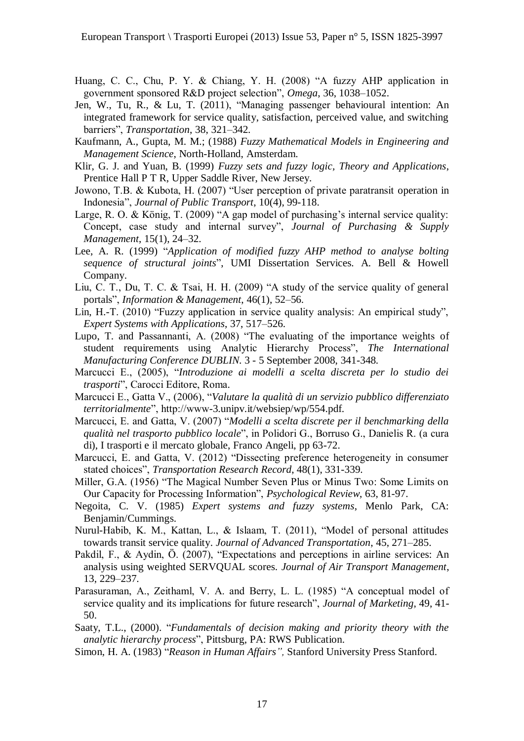- Huang, C. C., Chu, P. Y. & Chiang, Y. H. (2008) "A fuzzy AHP application in government sponsored R&D project selection", *Omega*, 36, 1038–1052.
- Jen, W., Tu, R., & Lu, T. (2011), "Managing passenger behavioural intention: An integrated framework for service quality, satisfaction, perceived value, and switching barriers", *Transportation*, 38, 321–342.
- Kaufmann, A., Gupta, M. M.; (1988) *Fuzzy Mathematical Models in Engineering and Management Science*, North-Holland, Amsterdam.
- Klir, G. J. and Yuan, B. (1999) *Fuzzy sets and fuzzy logic, Theory and Applications*, Prentice Hall P T R, Upper Saddle River, New Jersey.
- Jowono, T.B. & Kubota, H. (2007) "User perception of private paratransit operation in Indonesia", *Journal of Public Transport*, 10(4), 99-118.
- Large, R. O. & König, T. (2009) "A gap model of purchasing's internal service quality: Concept, case study and internal survey", *Journal of Purchasing & Supply Management*, 15(1), 24–32.
- Lee, A. R. (1999) "*Application of modified fuzzy AHP method to analyse bolting sequence of structural joints*", UMI Dissertation Services. A. Bell & Howell Company.
- Liu, C. T., Du, T. C. & Tsai, H. H. (2009) "A study of the service quality of general portals", *Information & Management*, 46(1), 52–56.
- Lin, H.-T. (2010) "Fuzzy application in service quality analysis: An empirical study", *Expert Systems with Applications*, 37, 517–526.
- Lupo, T. and Passannanti, A. (2008) "The evaluating of the importance weights of student requirements using Analytic Hierarchy Process", *The International Manufacturing Conference DUBLIN*. 3 - 5 September 2008, 341-348.
- Marcucci E., (2005), "*Introduzione ai modelli a scelta discreta per lo studio dei trasporti*", Carocci Editore, Roma.
- Marcucci E., Gatta V., (2006), "*Valutare la qualità di un servizio pubblico differenziato territorialmente*", http://www-3.unipv.it/websiep/wp/554.pdf.
- Marcucci, E. and Gatta, V. (2007) "*Modelli a scelta discrete per il benchmarking della qualità nel trasporto pubblico locale*", in Polidori G., Borruso G., Danielis R. (a cura di), I trasporti e il mercato globale, Franco Angeli, pp 63-72.
- Marcucci, E. and Gatta, V. (2012) "Dissecting preference heterogeneity in consumer stated choices", *Transportation Research Record*, 48(1), 331-339.
- Miller, G.A. (1956) "The Magical Number Seven Plus or Minus Two: Some Limits on Our Capacity for Processing Information", *Psychological Review*, 63, 81-97.
- Negoita, C. V. (1985) *Expert systems and fuzzy systems*, Menlo Park, CA: Benjamin/Cummings.
- Nurul-Habib, K. M., Kattan, L., & Islaam, T. (2011), "Model of personal attitudes towards transit service quality. *Journal of Advanced Transportation*, 45, 271–285.
- Pakdil, F., & Aydin, Ö. (2007), "Expectations and perceptions in airline services: An analysis using weighted SERVQUAL scores. *Journal of Air Transport Management*, 13, 229–237.
- Parasuraman, A., Zeithaml, V. A. and Berry, L. L. (1985) "A conceptual model of service quality and its implications for future research", *Journal of Marketing*, 49, 41- 50.
- Saaty, T.L., (2000). "*Fundamentals of decision making and priority theory with the analytic hierarchy process*", Pittsburg, PA: RWS Publication.
- Simon, H. A. (1983) "*Reason in Human Affairs",* Stanford University Press Stanford.